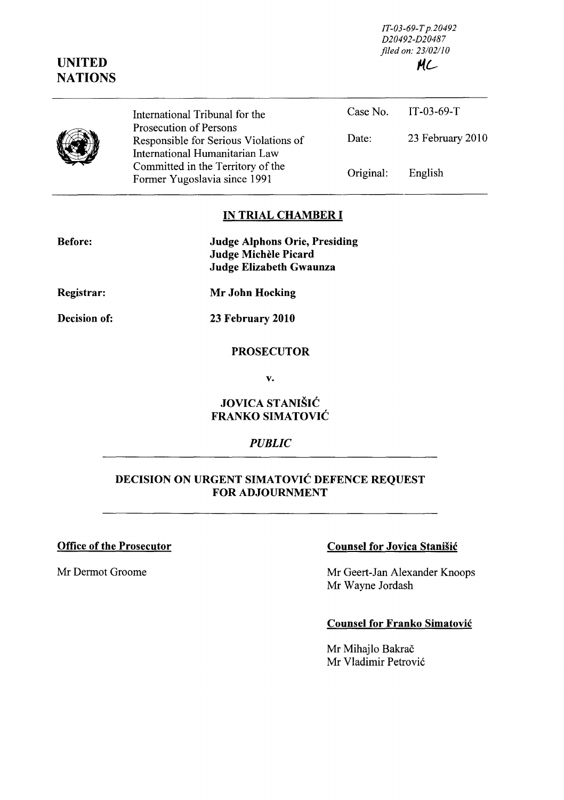*IT-03-69-T p.20492 D20492-D20487 filed on: 23102110 #.l-*

|  | International Tribunal for the<br>Prosecution of Persons                |           | Case No. IT-03-69-T |
|--|-------------------------------------------------------------------------|-----------|---------------------|
|  | Responsible for Serious Violations of<br>International Humanitarian Law | Date:     | 23 February 2010    |
|  | Committed in the Territory of the<br>Former Yugoslavia since 1991       | Original: | English             |

#### **IN TRIAL CHAMBER I**

| <b>Before:</b> | <b>Judge Alphons Orie, Presiding</b> |
|----------------|--------------------------------------|
|                | Judge Michèle Picard                 |
|                | Judge Elizabeth Gwaunza              |

**Registrar:** 

**UNITED NATIONS** 

 $\overline{\phantom{a}}$ 

**Decision of:** 

**Mr John Hocking** 

**23 February 2010** 

### **PROSECUTOR**

v.

## **JOVICA** STANIŠIĆ **FRANKO** SIMATOVIĆ

### *PUBLIC*

# **DECISION ON URGENT** SIMATOVIĆ **DEFENCE REQUEST FOR ADJOURNMENT**

### **Office of the Prosecutor**

Mr Dermot Groome

### **Counsel for Jovica** Stanišić

Mr Geert-Jan Alexander Knoops Mr Wayne Jordash

### **Counsel for Franko** Simatović

Mr Mihajlo Bakrač Mr Vladimir Petrović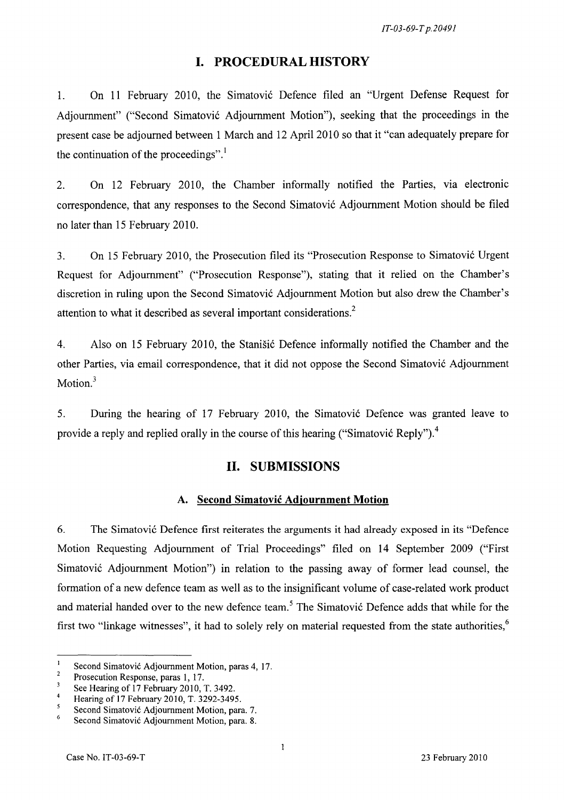## **I. PROCEDURAL HISTORY**

1. On 11 February 2010, the Simatović Defence filed an "Urgent Defense Request for Adjournment" ("Second Simatović Adjournment Motion"), seeking that the proceedings in the present case be adjoumed between 1 March and 12 April 2010 so that it "can adequately prepare for the continuation of the proceedings".<sup>1</sup>

2. On 12 February 2010, the Chamber informally notified the Parties, Via electronic correspondence, that any responses to the Second Simatović Adjournment Motion should be filed no later than 15 February 2010.

3. On 15 February 2010, the Prosecution filed its "Prosecution Response to Simatović Urgent Request for Adjournment" ("Prosecution Response"), stating that it relied on the Chamber's discretion in ruling upon the Second Simatović Adjournment Motion but also drew the Chamber's attention to what it described as several important considerations.<sup>2</sup>

4. Also on 15 February 2010, the Stanišić Defence informally notified the Chamber and the other Parties, via email correspondence, that it did not oppose the Second Simatović Adjournment Motion.<sup>3</sup>

5. During the hearing of 17 February 2010, the Simatović Defence was granted leave to provide a reply and replied orally in the course of this hearing ("Simatović Reply").<sup>4</sup>

# **II. SUBMISSIONS**

### **A. Second** Simatović **Adjournment Motion**

6. The Simatović Defence first reiterates the arguments it had already exposed in its "Defence" Motion Requesting Adjournment of Trial Proceedings" filed on 14 September 2009 ("First Simatović Adjournment Motion") in relation to the passing away of former lead counsel, the formation of a new defence team as well as to the insignificant volume of case-related work product and material handed over to the new defence team.<sup>5</sup> The Simatović Defence adds that while for the first two "linkage witnesses", it had to solely rely on material requested from the state authorities, $6$ 

 $\mathbf{1}$ Second Simatović Adjournment Motion, paras 4, 17.

 $\overline{2}$ Prosecution Response, paras l, 17.

 $\overline{\mathbf{3}}$ See Hearing of 17 February 2010, T. 3492.

 $\overline{4}$ Hearing of 17 February 2010, T. 3292-3495.

 $\mathfrak{s}$ Second Simatović Adjournment Motion, para. 7.

<sup>6</sup>  Second Simatović Adjoumment Motion, para. 8.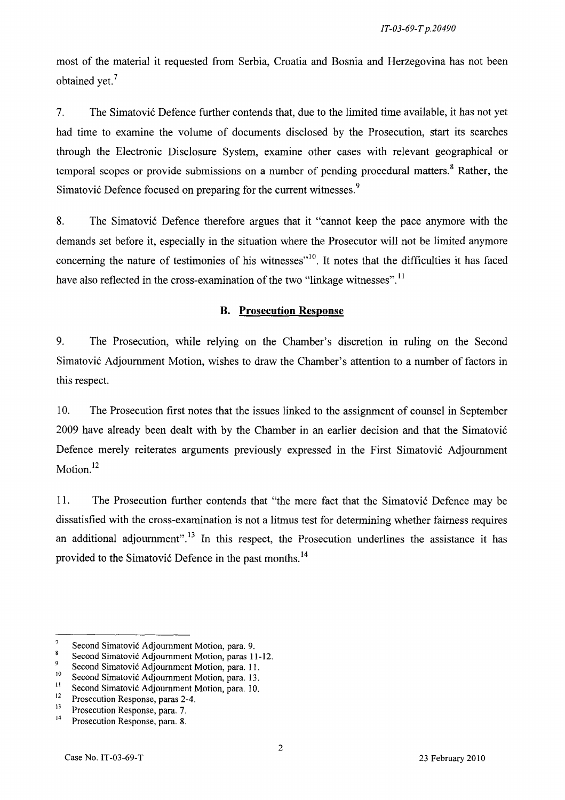most of the material it requested from Serbia, Croatia and Bosnia and Herzegovina has not been obtained yet.<sup>7</sup>

7. The Simatović Defence further contends that, due to the limited time available, it has not yet had time to examine the volume of documents disclosed by the Prosecution, start its searches through the Electronic Disclosure System, examine other cases with relevant geographical or temporal scopes or provide submissions on a number of pending procedural matters.<sup>8</sup> Rather, the Simatović Defence focused on preparing for the current witnesses.<sup>9</sup>

8. The Simatović Defence therefore argues that it "cannot keep the pace anymore with the demands set before it, especially in the situation where the Prosecutor will not be limited anymore concerning the nature of testimonies of his witnesses"<sup>10</sup>. It notes that the difficulties it has faced have also reflected in the cross-examination of the two "linkage witnesses".<sup>11</sup>

## **B. Prosecution Response**

9. The Prosecution, while relying on the Chamber's discretion in ruling on the Second Simatović Adjoumment Motion, wishes to draw the Chamber's attention to a number of factors in this respect.

10. The Prosecution first notes that the issues linked to the assignment of counsel in September 2009 have already been dealt with by the Chamber in an earlier decision and that the Simatović Defence merely reiterates arguments previously expressed in the First Simatović Adjournment Motion.<sup>12</sup>

ll. The Prosecution further contends that "the mere fact that the Simatović Defence may be dissatisfied with the cross-examination is not a litmus test for determining whether fairness requires an additional adjournment".<sup>13</sup> In this respect, the Prosecution underlines the assistance it has provided to the Simatović Defence in the past months.<sup>14</sup>

 $\overline{7}$ Second Simatović Adjournment Motion, para. 9.

 $\overline{\mathbf{8}}$ Second Simatović Adjournment Motion, paras 11-12.

 $\overline{9}$ Second Simatović Adjournment Motion, para. 11.

<sup>&</sup>lt;sup>10</sup> Second Simatović Adjournment Motion, para. 13.

<sup>&</sup>lt;sup>11</sup> Second Simatović Adjournment Motion, para. 10.<br><sup>12</sup> Presequition Beancese name 2.4

 $12$  Prosecution Response, paras 2-4.<br> $13$  Prosecution Response para 7

 $13$  Prosecution Response, para. 7.<br> $14$  Prosecution Pesponse, para. 8

Prosecution Response, para. 8.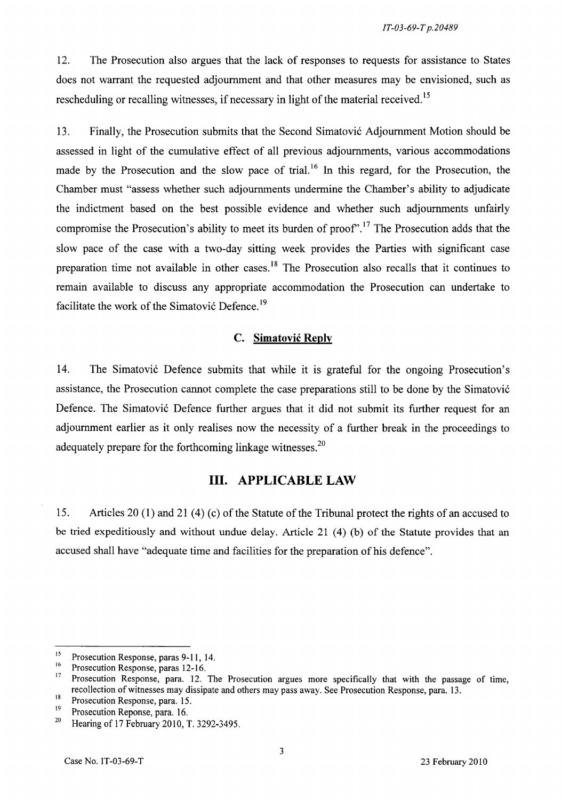12. The Prosecution also argues that the lack of responses to requests for assistance to States does not warrant the requested adjournment and that other measures may be envisioned, such as rescheduling or recalling witnesses, if necessary in light of the material received.<sup>15</sup>

13. Finally, the Prosecution submits that the Second Simatović Adjournment Motion should be assessed in light of the cumulative effect of all previous adjournments, various accommodations made by the Prosecution and the slow pace of trial.<sup>16</sup> In this regard, for the Prosecution, the Chamber must "assess whether such adjournments undermine the Chamber's ability to adjudicate the indictment based on the best possible evidence and whether such adjournments unfairly compromise the Prosecution's ability to meet its burden of proof".<sup>17</sup> The Prosecution adds that the slow pace of the case with a two-day sitting week provides the Parties with significant case preparation time not available in other cases.<sup>18</sup> The Prosecution also recalls that it continues to remain available to discuss any appropriate accommodation the Prosecution can undertake to facilitate the work of the Simatović Defence.<sup>19</sup>

#### C. Simatović **Reply**

14. The Simatović Defence submits that while it is grateful for the ongoing Prosecution's assistance, the Prosecution cannot complete the case preparations still to be done by the Simatović Defence. The Simatović Defence further argues that it did not submit its further request for an adjournment earlier as it only realises now the necessity of a further break in the proceedings to adequately prepare for the forthcoming linkage witnesses.<sup>20</sup>

## **III. APPLICABLE LAW**

15. Articles 20 (1) and 21 (4) (c) of the Statute of the Tribunal protect the rights of an accused to be tried expeditiously and without undue delay. Article 21 (4) (b) of the Statute provides that an accused shall have "adequate time and facilities for the preparation of his defence".

<sup>&</sup>lt;sup>15</sup> Prosecution Response, paras 9-11, 14.

<sup>&</sup>lt;sup>16</sup> Prosecution Response, paras 12-16.<br><sup>17</sup> Prosecution Response, para 12.

Prosecution Response, para. 12. The Prosecution argues more specifically that with the passage of time, recollection of witnesses may dissipate and others may pass away. See Prosecution Response, para. 13.

 $18$  Prosecution Response, para. 15.

 $19^{19}$  Prosecution Reponse, para. 16.<br> $19^{19}$  Hearing of 17 February 2010. 1

<sup>20</sup> Hearing of 17 February 2010, T. 3292-3495.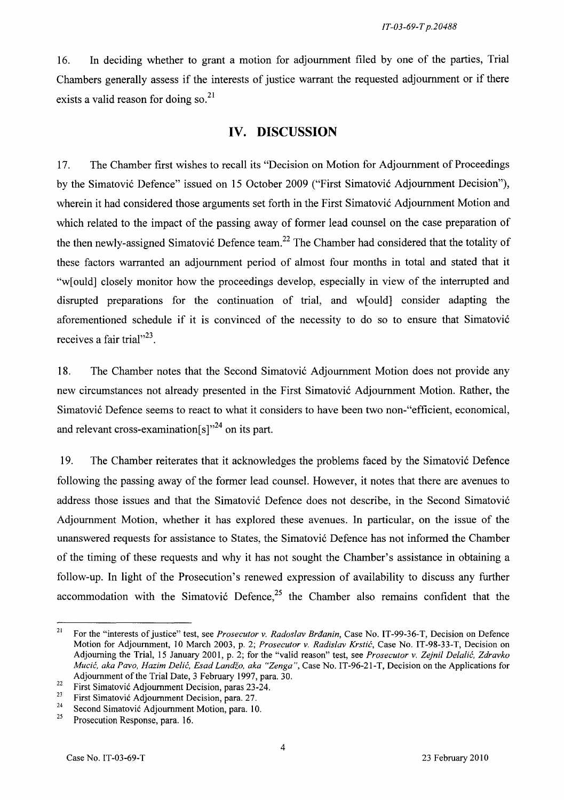16. In deciding whether to grant a motion for adjournment filed by one of the parties, Trial Chambers generally assess if the interests of justice warrant the requested adjournment or if there exists a valid reason for doing so.<sup>21</sup>

# **IV. DISCUSSION**

17. The Chamber first wishes to recall its "Decision on Motion for Adjournment of Proceedings by the Simatović Defence" issued on 15 October 2009 ("First Simatović Adjournment Decision"), wherein it had considered those arguments set forth in the First Simatović Adjournment Motion and which related to the impact of the passing away of former lead counsel on the case preparation of the then newly-assigned Simatović Defence team.<sup>22</sup> The Chamber had considered that the totality of these factors warranted an adjournment period of almost four months in total and stated that it "w[ould] closely monitor how the proceedings develop, especially in view of the interrupted and disrupted preparations for the continuation of trial, and w[ould] consider adapting the aforementioned schedule if it is convinced of the necessity to do so to ensure that Simatović receives a fair trial $^{3,23}$ .

18. The Chamber notes that the Second Simatović Adjournment Motion does not provide any new circumstances not already presented in the First Simatović Adjournment Motion. Rather, the Simatović Defence seems to react to what it considers to have been two non-"efficient, economical, and relevant cross-examination $[s]^{24}$  on its part.

19. The Chamber reiterates that it acknowledges the problems faced by the Simatović Defence following the passing away of the former lead counsel. However, it notes that there are avenues to address those issues and that the Simatović Defence does not describe, in the Second Simatović Adjournment Motion, whether it has explored these avenues. In particular, on the issue of the unanswered requests for assistance to States, the Simatović Defence has not informed the Chamber of the timing of these requests and why it has not sought the Chamber's assistance in obtaining a follow-up. In light of the Prosecution's renewed expression of availability to discuss any further accommodation with the Simatović Defence,<sup>25</sup> the Chamber also remains confident that the

<sup>&</sup>lt;sup>21</sup> For the "interests of justice" test, see *Prosecutor v. Radoslav Brđanin*, Case No. IT-99-36-T, Decision on Defence Motion for Adjournment, 10 March 2003, p. 2; *Prosecutor v. Radislav* Krstić, Case No. IT-98-33-T, Decision on Adjourning the Trial, 15 January 2001, p. 2; for the "valid reason" test, see *Prosecutor v. Zejni!* Delalić, *Zdravko*  Mucić, *aka Pavo, Hazim* Delić, *Esad Landžo, aka "Zenga",* Case No. IT-96-21-T, Decision on the Applications for Adjournment of the Trial Date, 3 February 1997, para. 30.

<sup>&</sup>lt;sup>22</sup> First Simatović Adjournment Decision, paras  $23-24$ .<br><sup>23</sup> First Simatović Adjournment Decision, para  $27$ 

<sup>&</sup>lt;sup>23</sup> First Simatović Adjournment Decision, para. 27.<br><sup>24</sup> Second Simatović Adjournment Motion, para. 10.<br><sup>25</sup> Prosecution Pesnonse, para. 16.

Prosecution Response, para. 16.